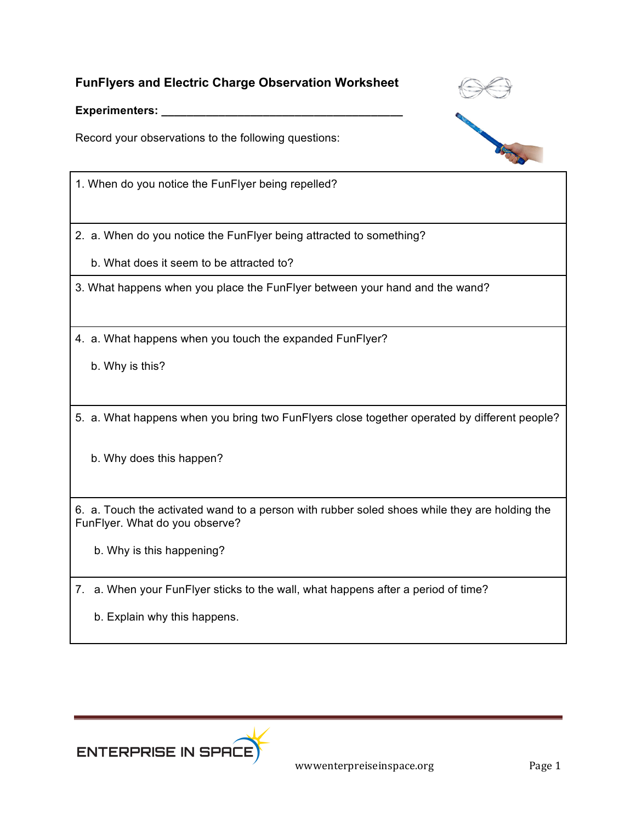## **FunFlyers and Electric Charge Observation Worksheet**

Experimenters:

Record your observations to the following questions:





1. When do you notice the FunFlyer being repelled?

2. a. When do you notice the FunFlyer being attracted to something?

b. What does it seem to be attracted to?

3. What happens when you place the FunFlyer between your hand and the wand?

4. a. What happens when you touch the expanded FunFlyer?

b. Why is this?

5. a. What happens when you bring two FunFlyers close together operated by different people?

b. Why does this happen?

6. a. Touch the activated wand to a person with rubber soled shoes while they are holding the FunFlyer. What do you observe?

b. Why is this happening?

7. a. When your FunFlyer sticks to the wall, what happens after a period of time?

b. Explain why this happens.



wwwenterpreiseinspace.org Page 1